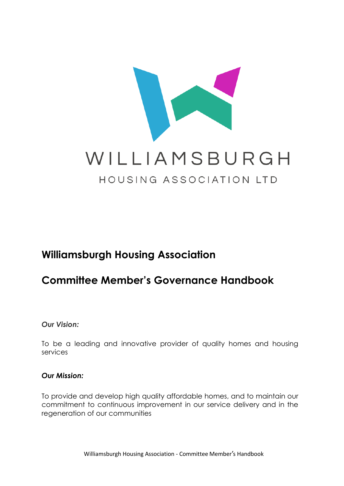

# **Williamsburgh Housing Association**

# **Committee Member's Governance Handbook**

# *Our Vision:*

To be a leading and innovative provider of quality homes and housing services

# *Our Mission:*

To provide and develop high quality affordable homes, and to maintain our commitment to continuous improvement in our service delivery and in the regeneration of our communities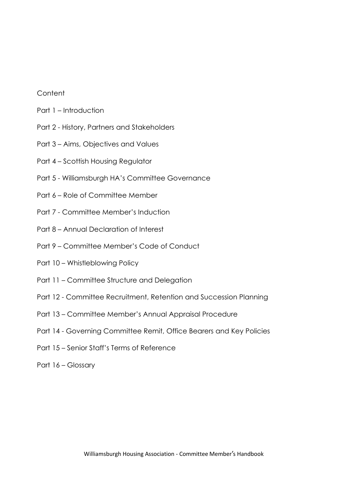## **Content**

- Part 1 Introduction
- Part 2 History, Partners and Stakeholders
- Part 3 Aims, Objectives and Values
- Part 4 Scottish Housing Regulator
- Part 5 Williamsburgh HA's Committee Governance
- Part 6 Role of Committee Member
- Part 7 Committee Member's Induction
- Part 8 Annual Declaration of Interest
- Part 9 Committee Member's Code of Conduct
- Part 10 Whistleblowing Policy
- Part 11 Committee Structure and Delegation
- Part 12 Committee Recruitment, Retention and Succession Planning
- Part 13 Committee Member's Annual Appraisal Procedure
- Part 14 Governing Committee Remit, Office Bearers and Key Policies
- Part 15 Senior Staff's Terms of Reference
- Part 16 Glossary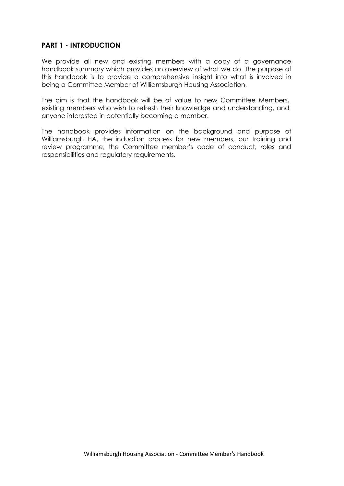# **PART 1 - INTRODUCTION**

We provide all new and existing members with a copy of a governance handbook summary which provides an overview of what we do. The purpose of this handbook is to provide a comprehensive insight into what is involved in being a Committee Member of Williamsburgh Housing Association.

The aim is that the handbook will be of value to new Committee Members, existing members who wish to refresh their knowledge and understanding, and anyone interested in potentially becoming a member.

The handbook provides information on the background and purpose of Williamsburgh HA, the induction process for new members, our training and review programme, the Committee member's code of conduct, roles and responsibilities and regulatory requirements.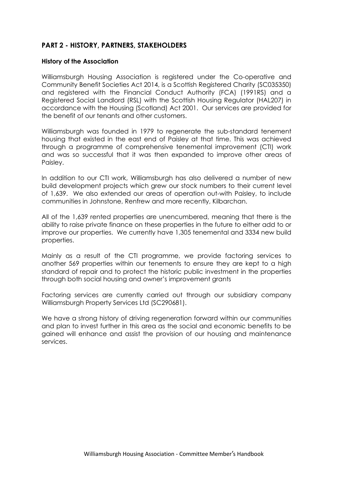# **PART 2 - HISTORY, PARTNERS, STAKEHOLDERS**

### **History of the Association**

Williamsburgh Housing Association is registered under the Co-operative and Community Benefit Societies Act 2014, is a Scottish Registered Charity (SC035350) and registered with the Financial Conduct Authority (FCA) (1991RS) and a Registered Social Landlord (RSL) with the Scottish Housing Regulator (HAL207) in accordance with the Housing (Scotland) Act 2001. Our services are provided for the benefit of our tenants and other customers.

Williamsburgh was founded in 1979 to regenerate the sub-standard tenement housing that existed in the east end of Paisley at that time. This was achieved through a programme of comprehensive tenemental improvement (CTI) work and was so successful that it was then expanded to improve other areas of Paisley.

In addition to our CTI work, Williamsburgh has also delivered a number of new build development projects which grew our stock numbers to their current level of 1,639. We also extended our areas of operation out-with Paisley, to include communities in Johnstone, Renfrew and more recently, Kilbarchan.

All of the 1,639 rented properties are unencumbered, meaning that there is the ability to raise private finance on these properties in the future to either add to or improve our properties. We currently have 1,305 tenemental and 3334 new build properties.

Mainly as a result of the CTI programme, we provide factoring services to another 569 properties within our tenements to ensure they are kept to a high standard of repair and to protect the historic public investment in the properties through both social housing and owner's improvement grants

Factoring services are currently carried out through our subsidiary company Williamsburgh Property Services Ltd (SC290681).

We have a strong history of driving regeneration forward within our communities and plan to invest further in this area as the social and economic benefits to be gained will enhance and assist the provision of our housing and maintenance services.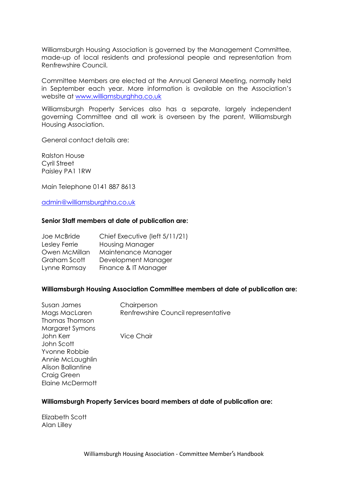Williamsburgh Housing Association is governed by the Management Committee, made-up of local residents and professional people and representation from Renfrewshire Council.

Committee Members are elected at the Annual General Meeting, normally held in September each year. More information is available on the Association's website at [www.williamsburghha.co.uk](http://www.williamsburghha.co.uk/)

Williamsburgh Property Services also has a separate, largely independent governing Committee and all work is overseen by the parent, Williamsburgh Housing Association.

General contact details are:

Ralston House Cyril Street Paisley PA1 1RW

Main Telephone 0141 887 8613

[admin@williamsburghha.co.uk](mailto:admin@williamsburghha.co.uk)

#### **Senior Staff members at date of publication are:**

| Chief Executive (left 5/11/21) |
|--------------------------------|
| <b>Housing Manager</b>         |
| Maintenance Manager            |
| Development Manager            |
| Finance & IT Manager           |
|                                |

#### **Williamsburgh Housing Association Committee members at date of publication are:**

| Susan James       | Chairperson                         |
|-------------------|-------------------------------------|
| Mags MacLaren     | Renfrewshire Council representative |
| Thomas Thomson    |                                     |
| Margaret Symons   |                                     |
| John Kerr         | Vice Chair                          |
| John Scott        |                                     |
| Yvonne Robbie     |                                     |
| Annie McLaughlin  |                                     |
| Alison Ballantine |                                     |
| Craig Green       |                                     |
| Elaine McDermott  |                                     |

#### **Williamsburgh Property Services board members at date of publication are:**

Elizabeth Scott Alan Lilley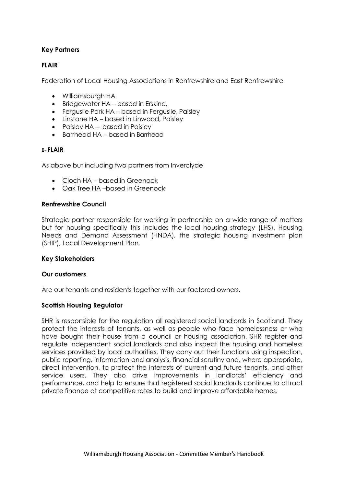## **Key Partners**

## **FLAIR**

Federation of Local Housing Associations in Renfrewshire and East Renfrewshire

- Williamsburgh HA
- Bridgewater HA based in Erskine,
- Ferguslie Park HA based in Ferguslie, Paisley
- Linstone HA based in Linwood, Paisley
- Paisley HA based in Paisley
- Barrhead HA based in Barrhead

#### **I-FLAIR**

As above but including two partners from Inverclyde

- Cloch HA based in Greenock
- Oak Tree HA –based in Greenock

#### **Renfrewshire Council**

Strategic partner responsible for working in partnership on a wide range of matters but for housing specifically this includes the local housing strategy (LHS), Housing Needs and Demand Assessment (HNDA), the strategic housing investment plan (SHIP), Local Development Plan.

#### **Key Stakeholders**

#### **Our customers**

Are our tenants and residents together with our factored owners.

#### **Scottish Housing Regulator**

SHR is responsible for the regulation all registered social landlords in Scotland. They protect the interests of tenants, as well as people who face homelessness or who have bought their house from a council or housing association. SHR register and regulate independent social landlords and also inspect the housing and homeless services provided by local authorities. They carry out their functions using inspection, public reporting, information and analysis, financial scrutiny and, where appropriate, direct intervention, to protect the interests of current and future tenants, and other service users. They also drive improvements in landlords' efficiency and performance, and help to ensure that registered social landlords continue to attract private finance at competitive rates to build and improve affordable homes.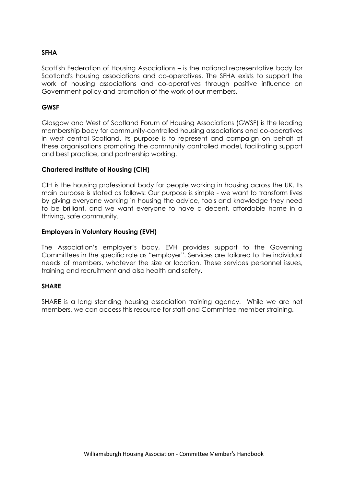## **SFHA**

Scottish Federation of Housing Associations – is the national representative body for Scotland's housing associations and co-operatives. The SFHA exists to support the work of housing associations and co-operatives through positive influence on Government policy and promotion of the work of our members.

### **GWSF**

Glasgow and West of Scotland Forum of Housing Associations (GWSF) is the leading membership body for community-controlled housing associations and co-operatives in west central Scotland. Its purpose is to represent and campaign on behalf of these organisations promoting the community controlled model, facilitating support and best practice, and partnership working.

## **Chartered institute of Housing (CIH)**

CIH is the housing professional body for people working in housing across the UK. Its main purpose is stated as follows: Our purpose is simple - we want to transform lives by giving everyone working in housing the advice, tools and knowledge they need to be brilliant, and we want everyone to have a decent, affordable home in a thriving, safe community.

## **Employers in Voluntary Housing (EVH)**

The Association's employer's body, EVH provides support to the Governing Committees in the specific role as "employer". Services are tailored to the individual needs of members, whatever the size or location. These services personnel issues, training and recruitment and also health and safety.

#### **SHARE**

SHARE is a long standing housing association training agency. While we are not members, we can access this resource for staff and Committee member straining.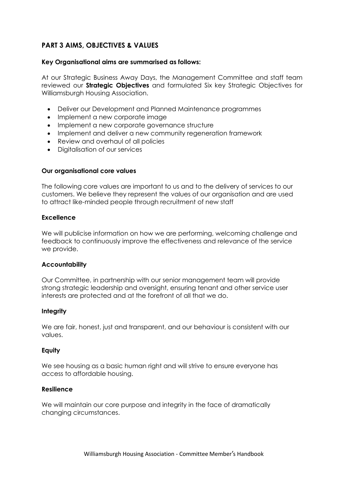# **PART 3 AIMS, OBJECTIVES & VALUES**

## **Key Organisational aims are summarised as follows:**

At our Strategic Business Away Days, the Management Committee and staff team reviewed our **Strategic Objectives** and formulated Six key Strategic Objectives for Williamsburgh Housing Association.

- Deliver our Development and Planned Maintenance programmes
- Implement a new corporate image
- Implement a new corporate governance structure
- Implement and deliver a new community regeneration framework
- Review and overhaul of all policies
- Digitalisation of our services

## **Our organisational core values**

The following core values are important to us and to the delivery of services to our customers. We believe they represent the values of our organisation and are used to attract like-minded people through recruitment of new staff

#### **Excellence**

We will publicise information on how we are performing, welcoming challenge and feedback to continuously improve the effectiveness and relevance of the service we provide.

#### **Accountability**

Our Committee, in partnership with our senior management team will provide strong strategic leadership and oversight, ensuring tenant and other service user interests are protected and at the forefront of all that we do.

#### **Integrity**

We are fair, honest, just and transparent, and our behaviour is consistent with our values.

#### **Equity**

We see housing as a basic human right and will strive to ensure everyone has access to affordable housing.

#### **Resilience**

We will maintain our core purpose and integrity in the face of dramatically changing circumstances.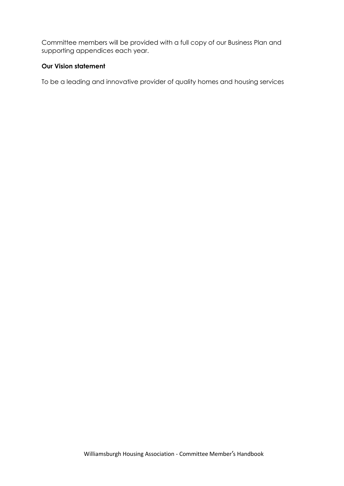Committee members will be provided with a full copy of our Business Plan and supporting appendices each year.

## **Our Vision statement**

To be a leading and innovative provider of quality homes and housing services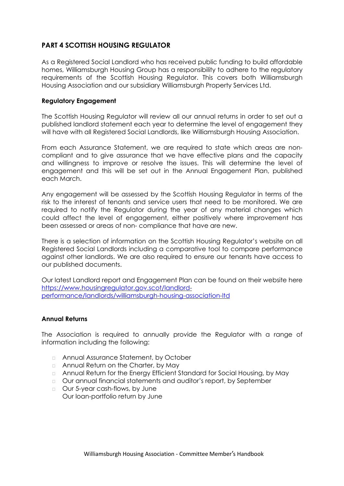# **PART 4 SCOTTISH HOUSING REGULATOR**

As a Registered Social Landlord who has received public funding to build affordable homes, Williamsburgh Housing Group has a responsibility to adhere to the regulatory requirements of the Scottish Housing Regulator. This covers both Williamsburgh Housing Association and our subsidiary Williamsburgh Property Services Ltd.

## **Regulatory Engagement**

The Scottish Housing Regulator will review all our annual returns in order to set out a published landlord statement each year to determine the level of engagement they will have with all Registered Social Landlords, like Williamsburgh Housing Association.

From each Assurance Statement, we are required to state which areas are noncompliant and to give assurance that we have effective plans and the capacity and willingness to improve or resolve the issues. This will determine the level of engagement and this will be set out in the Annual Engagement Plan, published each March.

Any engagement will be assessed by the Scottish Housing Regulator in terms of the risk to the interest of tenants and service users that need to be monitored. We are required to notify the Regulator during the year of any material changes which could affect the level of engagement, either positively where improvement has been assessed or areas of non- compliance that have are new.

There is a selection of information on the Scottish Housing Regulator's website on all Registered Social Landlords including a comparative tool to compare performance against other landlords. We are also required to ensure our tenants have access to our published documents.

Our latest Landlord report and Engagement Plan can be found on their website here [https://www.housingregulator.gov.scot/landlord](https://www.housingregulator.gov.scot/landlord-performance/landlords/williamsburgh-housing-association-ltd)[performance/landlords/williamsburgh-housing-association-ltd](https://www.housingregulator.gov.scot/landlord-performance/landlords/williamsburgh-housing-association-ltd)

#### **Annual Returns**

The Association is required to annually provide the Regulator with a range of information including the following:

- Annual Assurance Statement, by October
- **E** Annual Return on the Charter, by May
- Annual Return for the Energy Efficient Standard for Social Housing, by May
- Our annual financial statements and auditor's report, by September
- Our 5-year cash-flows, by June Our loan-portfolio return by June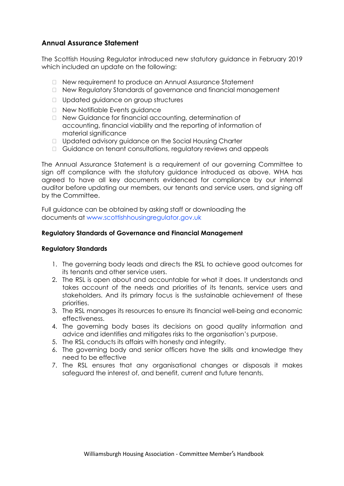# **Annual Assurance Statement**

The Scottish Housing Regulator introduced new statutory guidance in February 2019 which included an update on the following:

- □ New requirement to produce an Annual Assurance Statement
- New Regulatory Standards of governance and financial management
- D Updated quidance on group structures
- □ New Notifiable Events guidance
- □ New Guidance for financial accounting, determination of accounting, financial viability and the reporting of information of material significance
- □ Updated advisory quidance on the Social Housing Charter
- Guidance on tenant consultations, regulatory reviews and appeals

The Annual Assurance Statement is a requirement of our governing Committee to sign off compliance with the statutory guidance introduced as above. WHA has agreed to have all key documents evidenced for compliance by our internal auditor before updating our members, our tenants and service users, and signing off by the Committee.

Full guidance can be obtained by asking staff or downloading the documents at [www.scottishhousingregulator.gov.uk](http://www.scottishhousingregulator.gov.uk/)

## **Regulatory Standards of Governance and Financial Management**

#### **Regulatory Standards**

- 1. The governing body leads and directs the RSL to achieve good outcomes for its tenants and other service users.
- 2. The RSL is open about and accountable for what it does. It understands and takes account of the needs and priorities of its tenants, service users and stakeholders. And its primary focus is the sustainable achievement of these priorities.
- 3. The RSL manages its resources to ensure its financial well-being and economic effectiveness.
- 4. The governing body bases its decisions on good quality information and advice and identifies and mitigates risks to the organisation's purpose.
- 5. The RSL conducts its affairs with honesty and integrity.
- 6. The governing body and senior officers have the skills and knowledge they need to be effective
- 7. The RSL ensures that any organisational changes or disposals it makes safeguard the interest of, and benefit, current and future tenants.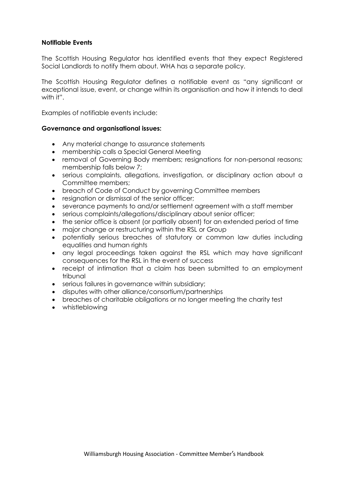## **Notifiable Events**

The Scottish Housing Regulator has identified events that they expect Registered Social Landlords to notify them about. WHA has a separate policy.

The Scottish Housing Regulator defines a notifiable event as "any significant or exceptional issue, event, or change within its organisation and how it intends to deal with it".

Examples of notifiable events include:

#### **Governance and organisational issues:**

- Any material change to assurance statements
- membership calls a Special General Meeting
- removal of Governing Body members; resignations for non-personal reasons; membership falls below 7;
- serious complaints, allegations, investigation, or disciplinary action about a Committee members;
- breach of Code of Conduct by governing Committee members
- resignation or dismissal of the senior officer;
- severance payments to and/or settlement agreement with a staff member
- serious complaints/allegations/disciplinary about senior officer;
- the senior office is absent (or partially absent) for an extended period of time
- major change or restructuring within the RSL or Group
- potentially serious breaches of statutory or common law duties including equalities and human rights
- any legal proceedings taken against the RSL which may have significant consequences for the RSL in the event of success
- receipt of intimation that a claim has been submitted to an employment tribunal
- serious failures in governance within subsidiary;
- disputes with other alliance/consortium/partnerships
- breaches of charitable obligations or no longer meeting the charity test
- whistleblowing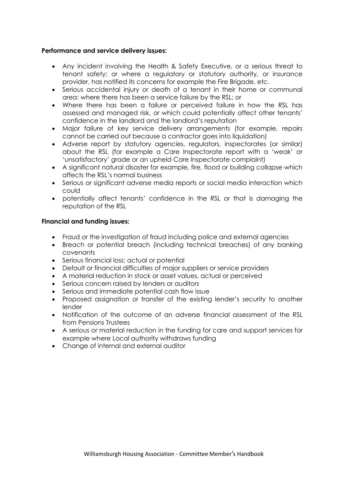## **Performance and service delivery issues:**

- Any incident involving the Health & Safety Executive, or a serious threat to tenant safety; or where a regulatory or statutory authority, or insurance provider, has notified its concerns for example the Fire Brigade, etc.
- Serious accidental injury or death of a tenant in their home or communal area: where there has been a service failure by the RSL; or
- Where there has been a failure or perceived failure in how the RSL has assessed and managed risk, or which could potentially affect other tenants' confidence in the landlord and the landlord's reputation
- Major failure of key service delivery arrangements (for example, repairs cannot be carried out because a contractor goes into liquidation)
- Adverse report by statutory agencies, regulators, inspectorates (or similar) about the RSL (for example a Care Inspectorate report with a 'weak' or 'unsatisfactory' grade or an upheld Care Inspectorate complaint)
- A significant natural disaster for example, fire, flood or building collapse which affects the RSL's normal business
- Serious or significant adverse media reports or social media interaction which could
- potentially affect tenants' confidence in the RSL or that is damaging the reputation of the RSL

## **Financial and funding issues:**

- Fraud or the investigation of fraud including police and external agencies
- Breach or potential breach (including technical breaches) of any banking covenants
- Serious financial loss; actual or potential
- Default or financial difficulties of major suppliers or service providers
- A material reduction in stock or asset values, actual or perceived
- Serious concern raised by lenders or auditors
- Serious and immediate potential cash flow issue
- Proposed assignation or transfer of the existing lender's security to another lender
- Notification of the outcome of an adverse financial assessment of the RSL from Pensions Trustees
- A serious or material reduction in the funding for care and support services for example where Local authority withdraws funding
- Change of internal and external auditor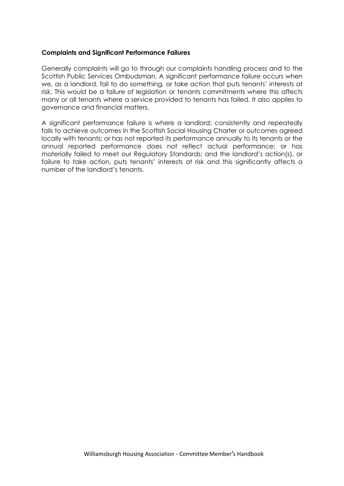#### **Complaints and Significant Performance Failures**

Generally complaints will go to through our complaints handling process and to the Scottish Public Services Ombudsman. A significant performance failure occurs when we, as a landlord, fail to do something, or take action that puts tenants' interests at risk. This would be a failure of legislation or tenants commitments where this affects many or all tenants where a service provided to tenants has failed. It also applies to governance and financial matters.

A significant performance failure is where a landlord: consistently and repeatedly fails to achieve outcomes in the Scottish Social Housing Charter or outcomes agreed locally with tenants; or has not reported its performance annually to its tenants or the annual reported performance does not reflect actual performance; or has materially failed to meet our Regulatory Standards; and the landlord's action(s), or failure to take action, puts tenants' interests at risk and this significantly affects a number of the landlord's tenants.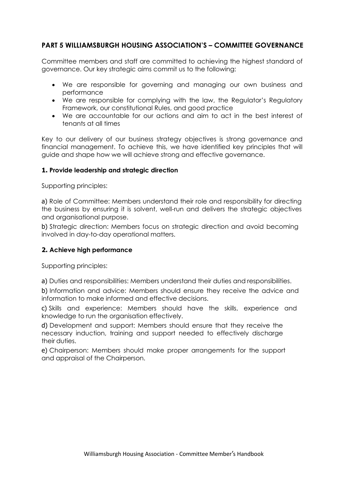# **PART 5 WILLIAMSBURGH HOUSING ASSOCIATION'S – COMMITTEE GOVERNANCE**

Committee members and staff are committed to achieving the highest standard of governance. Our key strategic aims commit us to the following:

- We are responsible for governing and managing our own business and performance
- We are responsible for complying with the law, the Regulator's Regulatory Framework, our constitutional Rules, and good practice
- We are accountable for our actions and aim to act in the best interest of tenants at all times

Key to our delivery of our business strategy objectives is strong governance and financial management. To achieve this, we have identified key principles that will guide and shape how we will achieve strong and effective governance.

## **1. Provide leadership and strategic direction**

Supporting principles:

a) Role of Committee: Members understand their role and responsibility for directing the business by ensuring it is solvent, well-run and delivers the strategic objectives and organisational purpose.

b) Strategic direction: Members focus on strategic direction and avoid becoming involved in day-to-day operational matters.

## **2. Achieve high performance**

Supporting principles:

a) Duties and responsibilities: Members understand their duties and responsibilities.

b) Information and advice: Members should ensure they receive the advice and information to make informed and effective decisions.

c) Skills and experience: Members should have the skills, experience and knowledge to run the organisation effectively.

d) Development and support: Members should ensure that they receive the necessary induction, training and support needed to effectively discharge their duties.

e) Chairperson: Members should make proper arrangements for the support and appraisal of the Chairperson.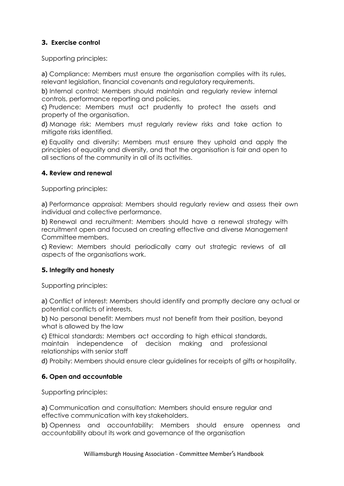# **3. Exercise control**

Supporting principles:

a) Compliance: Members must ensure the organisation complies with its rules, relevant legislation, financial covenants and regulatory requirements.

b) Internal control: Members should maintain and regularly review internal controls, performance reporting and policies.

c) Prudence: Members must act prudently to protect the assets and property of the organisation.

d) Manage risk: Members must regularly review risks and take action to mitigate risks identified.

e) Equality and diversity: Members must ensure they uphold and apply the principles of equality and diversity, and that the organisation is fair and open to all sections of the community in all of its activities.

## **4. Review and renewal**

Supporting principles:

a) Performance appraisal: Members should regularly review and assess their own individual and collective performance.

b) Renewal and recruitment: Members should have a renewal strategy with recruitment open and focused on creating effective and diverse Management Committee members.

c) Review: Members should periodically carry out strategic reviews of all aspects of the organisations work.

## **5. Integrity and honesty**

Supporting principles:

a) Conflict of interest: Members should identify and promptly declare any actual or potential conflicts of interests.

b) No personal benefit: Members must not benefit from their position, beyond what is allowed by the law

c) Ethical standards: Members act according to high ethical standards, maintain independence of decision making and professional relationships with senior staff

d) Probity: Members should ensure clear guidelines for receipts of gifts or hospitality.

## **6. Open and accountable**

Supporting principles:

a) Communication and consultation: Members should ensure regular and effective communication with key stakeholders.

b) Openness and accountability: Members should ensure openness and accountability about its work and governance of the organisation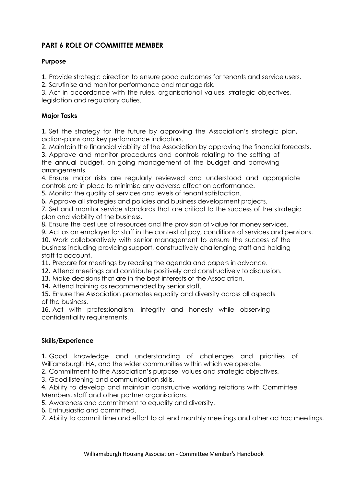# **PART 6 ROLE OF COMMITTEE MEMBER**

## **Purpose**

1. Provide strategic direction to ensure good outcomes for tenants and service users.

2. Scrutinise and monitor performance and manage risk.

3. Act in accordance with the rules, organisational values, strategic objectives, legislation and regulatory duties.

# **Major Tasks**

1. Set the strategy for the future by approving the Association's strategic plan, action-plans and key performance indicators.

2. Maintain the financial viability of the Association by approving the financial forecasts.

3. Approve and monitor procedures and controls relating to the setting of the annual budget, on-going management of the budget and borrowing arrangements.

4. Ensure major risks are regularly reviewed and understood and appropriate controls are in place to minimise any adverse effect on performance.

5. Monitor the quality of services and levels of tenant satisfaction.

6. Approve all strategies and policies and business development projects.

7. Set and monitor service standards that are critical to the success of the strategic plan and viability of the business.

8. Ensure the best use of resources and the provision of value for money services.

9. Act as an employer for staff in the context of pay, conditions of services and pensions.

10. Work collaboratively with senior management to ensure the success of the business including providing support, constructively challenging staff and holding staff to account.

11. Prepare for meetings by reading the agenda and papers in advance.

12. Attend meetings and contribute positively and constructively to discussion.

13. Make decisions that are in the best interests of the Association.

14. Attend training as recommended by senior staff.

15. Ensure the Association promotes equality and diversity across all aspects of the business.

16. Act with professionalism, integrity and honesty while observing confidentiality requirements.

## **Skills/Experience**

1. Good knowledge and understanding of challenges and priorities of Williamsburgh HA, and the wider communities within which we operate.

2. Commitment to the Association's purpose, values and strategic objectives.

3. Good listening and communication skills.

4. Ability to develop and maintain constructive working relations with Committee Members, staff and other partner organisations.

5. Awareness and commitment to equality and diversity.

6. Enthusiastic and committed.

7. Ability to commit time and effort to attend monthly meetings and other ad hoc meetings.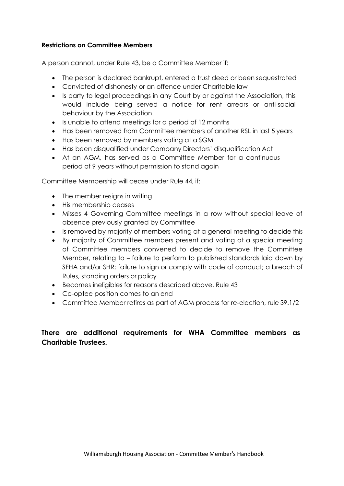## **Restrictions on Committee Members**

A person cannot, under Rule 43, be a Committee Member if:

- The person is declared bankrupt, entered a trust deed or been sequestrated
- Convicted of dishonesty or an offence under Charitable law
- Is party to legal proceedings in any Court by or against the Association, this would include being served a notice for rent arrears or anti-social behaviour by the Association.
- Is unable to attend meetings for a period of 12 months
- Has been removed from Committee members of another RSL in last 5 years
- Has been removed by members voting at a SGM
- Has been disqualified under Company Directors' disqualification Act
- At an AGM, has served as a Committee Member for a continuous period of 9 years without permission to stand again

Committee Membership will cease under Rule 44, if:

- The member resigns in writing
- His membership ceases
- Misses 4 Governing Committee meetings in a row without special leave of absence previously granted by Committee
- Is removed by majority of members voting at a general meeting to decide this
- By majority of Committee members present and voting at a special meeting of Committee members convened to decide to remove the Committee Member, relating to – failure to perform to published standards laid down by SFHA and/or SHR; failure to sign or comply with code of conduct; a breach of Rules, standing orders or policy
- Becomes ineligibles for reasons described above, Rule 43
- Co-optee position comes to an end
- Committee Member retires as part of AGM process for re-election, rule 39.1/2

# **There are additional requirements for WHA Committee members as Charitable Trustees.**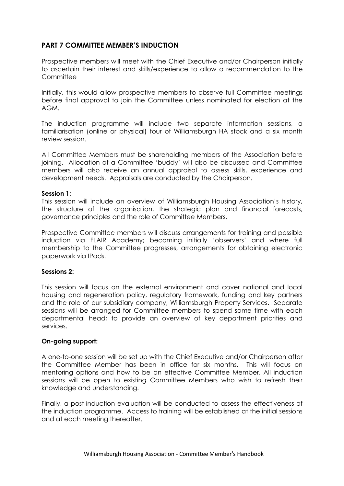# **PART 7 COMMITTEE MEMBER'S INDUCTION**

Prospective members will meet with the Chief Executive and/or Chairperson initially to ascertain their interest and skills/experience to allow a recommendation to the **Committee** 

Initially, this would allow prospective members to observe full Committee meetings before final approval to join the Committee unless nominated for election at the AGM.

The induction programme will include two separate information sessions, a familiarisation (online or physical) tour of Williamsburgh HA stock and a six month review session.

All Committee Members must be shareholding members of the Association before joining. Allocation of a Committee 'buddy' will also be discussed and Committee members will also receive an annual appraisal to assess skills, experience and development needs. Appraisals are conducted by the Chairperson.

#### **Session 1:**

This session will include an overview of Williamsburgh Housing Association's history, the structure of the organisation, the strategic plan and financial forecasts, governance principles and the role of Committee Members.

Prospective Committee members will discuss arrangements for training and possible induction via FLAIR Academy; becoming initially 'observers' and where full membership to the Committee progresses, arrangements for obtaining electronic paperwork via IPads.

#### **Sessions 2:**

This session will focus on the external environment and cover national and local housing and regeneration policy, regulatory framework, funding and key partners and the role of our subsidiary company, Williamsburgh Property Services. Separate sessions will be arranged for Committee members to spend some time with each departmental head; to provide an overview of key department priorities and services.

## **On-going support:**

A one-to-one session will be set up with the Chief Executive and/or Chairperson after the Committee Member has been in office for six months. This will focus on mentoring options and how to be an effective Committee Member. All induction sessions will be open to existing Committee Members who wish to refresh their knowledge and understanding.

Finally, a post-induction evaluation will be conducted to assess the effectiveness of the induction programme. Access to training will be established at the initial sessions and at each meeting thereafter.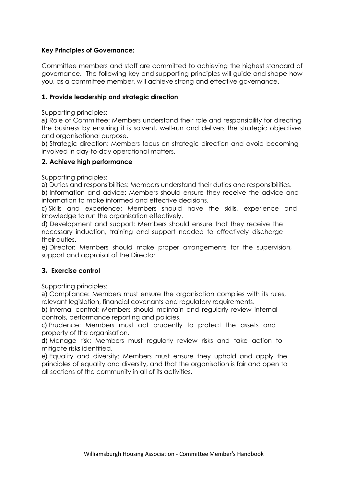## **Key Principles of Governance:**

Committee members and staff are committed to achieving the highest standard of governance. The following key and supporting principles will guide and shape how you, as a committee member, will achieve strong and effective governance.

## **1. Provide leadership and strategic direction**

Supporting principles:

a) Role of Committee: Members understand their role and responsibility for directing the business by ensuring it is solvent, well-run and delivers the strategic objectives and organisational purpose.

b) Strategic direction: Members focus on strategic direction and avoid becoming involved in day-to-day operational matters.

## **2. Achieve high performance**

Supporting principles:

a) Duties and responsibilities: Members understand their duties and responsibilities.

b) Information and advice: Members should ensure they receive the advice and information to make informed and effective decisions.

c) Skills and experience: Members should have the skills, experience and knowledge to run the organisation effectively.

d) Development and support: Members should ensure that they receive the necessary induction, training and support needed to effectively discharge their duties.

e) Director: Members should make proper arrangements for the supervision, support and appraisal of the Director

## **3. Exercise control**

Supporting principles:

a) Compliance: Members must ensure the organisation complies with its rules, relevant legislation, financial covenants and regulatory requirements.

b) Internal control: Members should maintain and regularly review internal controls, performance reporting and policies.

c) Prudence: Members must act prudently to protect the assets and property of the organisation.

d) Manage risk: Members must regularly review risks and take action to mitigate risks identified.

e) Equality and diversity: Members must ensure they uphold and apply the principles of equality and diversity, and that the organisation is fair and open to all sections of the community in all of its activities.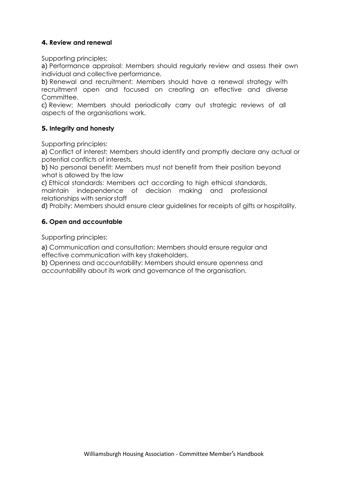## **4. Review and renewal**

Supporting principles:

a) Performance appraisal: Members should regularly review and assess their own individual and collective performance.

b) Renewal and recruitment: Members should have a renewal strategy with recruitment open and focused on creating an effective and diverse Committee.

c) Review: Members should periodically carry out strategic reviews of all aspects of the organisations work.

## **5. Integrity and honesty**

Supporting principles:

a) Conflict of interest: Members should identify and promptly declare any actual or potential conflicts of interests.

b) No personal benefit: Members must not benefit from their position beyond what is allowed by the law

c) Ethical standards: Members act according to high ethical standards, maintain independence of decision making and professional relationships with seniorstaff

d) Probity: Members should ensure clear guidelines for receipts of gifts or hospitality.

## **6. Open and accountable**

Supporting principles:

a) Communication and consultation: Members should ensure regular and effective communication with key stakeholders.

b) Openness and accountability: Members should ensure openness and accountability about its work and governance of the organisation.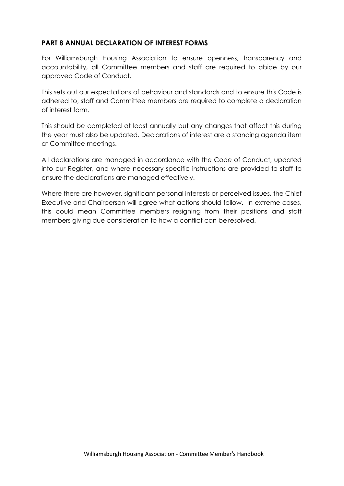# **PART 8 ANNUAL DECLARATION OF INTEREST FORMS**

For Williamsburgh Housing Association to ensure openness, transparency and accountability, all Committee members and staff are required to abide by our approved Code of Conduct.

This sets out our expectations of behaviour and standards and to ensure this Code is adhered to, staff and Committee members are required to complete a declaration of interest form.

This should be completed at least annually but any changes that affect this during the year must also be updated. Declarations of interest are a standing agenda item at Committee meetings.

All declarations are managed in accordance with the Code of Conduct, updated into our Register, and where necessary specific instructions are provided to staff to ensure the declarations are managed effectively.

Where there are however, significant personal interests or perceived issues, the Chief Executive and Chairperson will agree what actions should follow. In extreme cases, this could mean Committee members resigning from their positions and staff members giving due consideration to how a conflict can be resolved.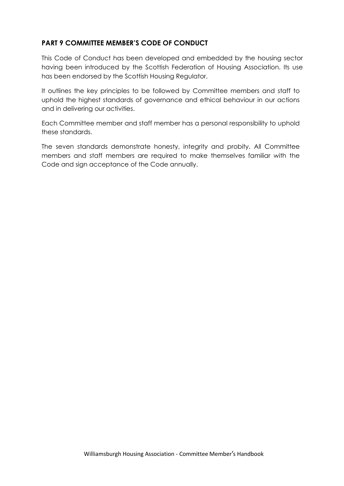# **PART 9 COMMITTEE MEMBER'S CODE OF CONDUCT**

This Code of Conduct has been developed and embedded by the housing sector having been introduced by the Scottish Federation of Housing Association. Its use has been endorsed by the Scottish Housing Regulator.

It outlines the key principles to be followed by Committee members and staff to uphold the highest standards of governance and ethical behaviour in our actions and in delivering our activities.

Each Committee member and staff member has a personal responsibility to uphold these standards.

The seven standards demonstrate honesty, integrity and probity. All Committee members and staff members are required to make themselves familiar with the Code and sign acceptance of the Code annually.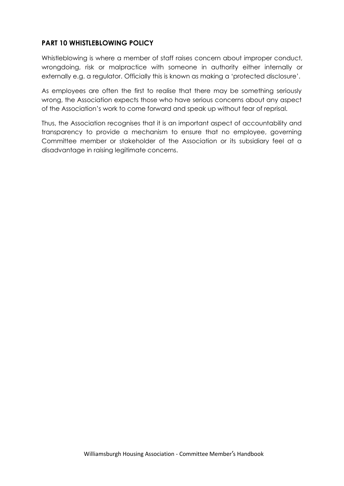# **PART 10 WHISTLEBLOWING POLICY**

Whistleblowing is where a member of staff raises concern about improper conduct, wrongdoing, risk or malpractice with someone in authority either internally or externally e.g. a regulator. Officially this is known as making a 'protected disclosure'.

As employees are often the first to realise that there may be something seriously wrong, the Association expects those who have serious concerns about any aspect of the Association's work to come forward and speak up without fear of reprisal.

Thus, the Association recognises that it is an important aspect of accountability and transparency to provide a mechanism to ensure that no employee, governing Committee member or stakeholder of the Association or its subsidiary feel at a disadvantage in raising legitimate concerns.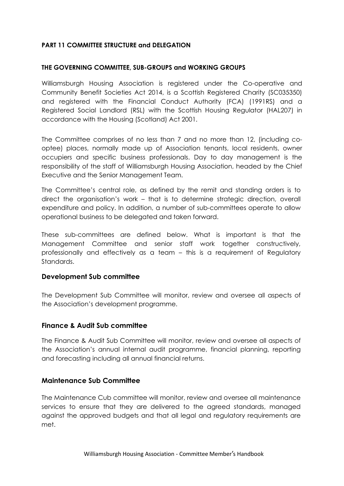## **PART 11 COMMITTEE STRUCTURE and DELEGATION**

### **THE GOVERNING COMMITTEE, SUB-GROUPS and WORKING GROUPS**

Williamsburgh Housing Association is registered under the Co-operative and Community Benefit Societies Act 2014, is a Scottish Registered Charity (SC035350) and registered with the Financial Conduct Authority (FCA) (1991RS) and a Registered Social Landlord (RSL) with the Scottish Housing Regulator (HAL207) in accordance with the Housing (Scotland) Act 2001.

The Committee comprises of no less than 7 and no more than 12, (including cooptee) places, normally made up of Association tenants, local residents, owner occupiers and specific business professionals. Day to day management is the responsibility of the staff of Williamsburgh Housing Association, headed by the Chief Executive and the Senior Management Team.

The Committee's central role, as defined by the remit and standing orders is to direct the organisation's work – that is to determine strategic direction, overall expenditure and policy. In addition, a number of sub-committees operate to allow operational business to be delegated and taken forward.

These sub-committees are defined below. What is important is that the Management Committee and senior staff work together constructively, professionally and effectively as a team – this is a requirement of Regulatory Standards.

## **Development Sub committee**

The Development Sub Committee will monitor, review and oversee all aspects of the Association's development programme.

## **Finance & Audit Sub committee**

The Finance & Audit Sub Committee will monitor, review and oversee all aspects of the Association's annual internal audit programme, financial planning, reporting and forecasting including all annual financial returns.

#### **Maintenance Sub Committee**

The Maintenance Cub committee will monitor, review and oversee all maintenance services to ensure that they are delivered to the agreed standards, managed against the approved budgets and that all legal and regulatory requirements are met.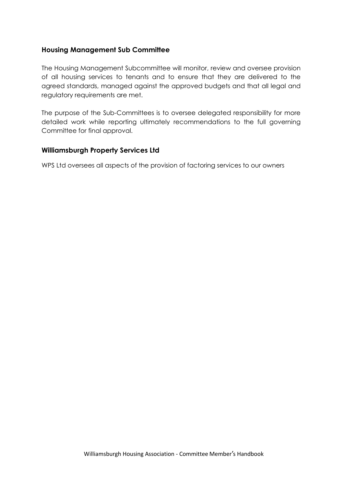# **Housing Management Sub Committee**

The Housing Management Subcommittee will monitor, review and oversee provision of all housing services to tenants and to ensure that they are delivered to the agreed standards, managed against the approved budgets and that all legal and regulatory requirements are met.

The purpose of the Sub-Committees is to oversee delegated responsibility for more detailed work while reporting ultimately recommendations to the full governing Committee for final approval.

## **Williamsburgh Property Services Ltd**

WPS Ltd oversees all aspects of the provision of factoring services to our owners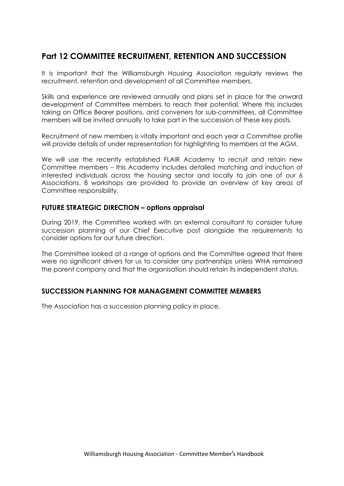# **Part 12 COMMITTEE RECRUITMENT, RETENTION AND SUCCESSION**

It is important that the Williamsburgh Housing Association regularly reviews the recruitment, retention and development of all Committee members.

Skills and experience are reviewed annually and plans set in place for the onward development of Committee members to reach their potential. Where this includes taking on Office Bearer positions, and conveners for sub-committees, all Committee members will be invited annually to take part in the succession of these key posts.

Recruitment of new members is vitally important and each year a Committee profile will provide details of under representation for highlighting to members at the AGM.

We will use the recently established FLAIR Academy to recruit and retain new Committee members – this Academy includes detailed matching and induction of interested individuals across the housing sector and locally to join one of our 6 Associations. 8 workshops are provided to provide an overview of key areas of Committee responsibility.

## **FUTURE STRATEGIC DIRECTION – options appraisal**

During 2019, the Committee worked with an external consultant to consider future succession planning of our Chief Executive post alongside the requirements to consider options for our future direction.

The Committee looked at a range of options and the Committee agreed that there were no significant drivers for us to consider any partnerships unless WHA remained the parent company and that the organisation should retain its independent status.

# **SUCCESSION PLANNING FOR MANAGEMENT COMMITTEE MEMBERS**

The Association has a succession planning policy in place.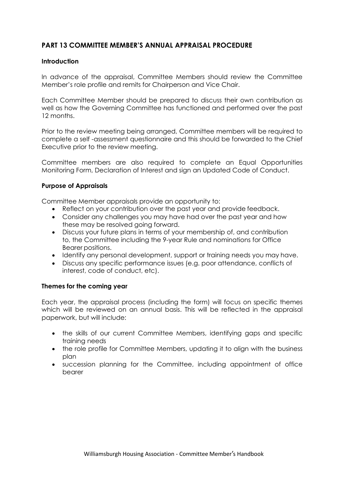# **PART 13 COMMITTEE MEMBER'S ANNUAL APPRAISAL PROCEDURE**

## **Introduction**

In advance of the appraisal, Committee Members should review the Committee Member's role profile and remits for Chairperson and Vice Chair.

Each Committee Member should be prepared to discuss their own contribution as well as how the Governing Committee has functioned and performed over the past 12 months.

Prior to the review meeting being arranged, Committee members will be required to complete a self -assessment questionnaire and this should be forwarded to the Chief Executive prior to the review meeting.

Committee members are also required to complete an Equal Opportunities Monitoring Form, Declaration of Interest and sign an Updated Code of Conduct.

## **Purpose of Appraisals**

Committee Member appraisals provide an opportunity to:

- Reflect on your contribution over the past year and provide feedback.
- Consider any challenges you may have had over the past year and how these may be resolved going forward.
- Discuss your future plans in terms of your membership of, and contribution to, the Committee including the 9-year Rule and nominations for Office Bearer positions.
- Identify any personal development, support or training needs you may have.
- Discuss any specific performance issues (e.g. poor attendance, conflicts of interest, code of conduct, etc).

#### **Themes for the coming year**

Each year, the appraisal process (including the form) will focus on specific themes which will be reviewed on an annual basis. This will be reflected in the appraisal paperwork, but will include:

- the skills of our current Committee Members, identifying gaps and specific training needs
- the role profile for Committee Members, updating it to align with the business plan
- succession planning for the Committee, including appointment of office bearer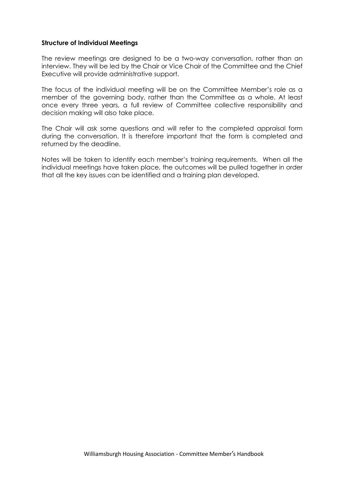#### **Structure of Individual Meetings**

The review meetings are designed to be a two-way conversation, rather than an interview. They will be led by the Chair or Vice Chair of the Committee and the Chief Executive will provide administrative support.

The focus of the individual meeting will be on the Committee Member's role as a member of the governing body, rather than the Committee as a whole. At least once every three years, a full review of Committee collective responsibility and decision making will also take place.

The Chair will ask some questions and will refer to the completed appraisal form during the conversation. It is therefore important that the form is completed and returned by the deadline.

Notes will be taken to identify each member's training requirements. When all the individual meetings have taken place, the outcomes will be pulled together in order that all the key issues can be identified and a training plan developed.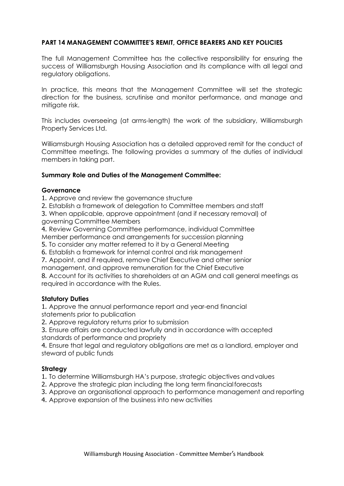## **PART 14 MANAGEMENT COMMITTEE'S REMIT, OFFICE BEARERS AND KEY POLICIES**

The full Management Committee has the collective responsibility for ensuring the success of Williamsburgh Housing Association and its compliance with all legal and regulatory obligations.

In practice, this means that the Management Committee will set the strategic direction for the business, scrutinise and monitor performance, and manage and mitigate risk.

This includes overseeing (at arms-length) the work of the subsidiary, Williamsburgh Property Services Ltd.

Williamsburgh Housing Association has a detailed approved remit for the conduct of Committee meetings. The following provides a summary of the duties of individual members in taking part.

#### **Summary Role and Duties of the Management Committee:**

#### **Governance**

1. Approve and review the governance structure

2. Establish a framework of delegation to Committee members and staff

3. When applicable, approve appointment (and if necessary removal) of governing Committee Members

4. Review Governing Committee performance, individual Committee

Member performance and arrangements for succession planning

5. To consider any matter referred to it by a General Meeting

6. Establish a framework for internal control and risk management

7. Appoint, and if required, remove Chief Executive and other senior

management, and approve remuneration for the Chief Executive

8. Account for its activities to shareholders at an AGM and call general meetings as required in accordance with the Rules.

#### **Statutory Duties**

1. Approve the annual performance report and year-end financial statements prior to publication

2. Approve regulatory returns prior to submission

3. Ensure affairs are conducted lawfully and in accordance with accepted standards of performance and propriety

4. Ensure that legal and regulatory obligations are met as a landlord, employer and steward of public funds

#### **Strategy**

1. To determine Williamsburgh HA's purpose, strategic objectives andvalues

- 2. Approve the strategic plan including the long term financialforecasts
- 3. Approve an organisational approach to performance management and reporting
- 4. Approve expansion of the business into new activities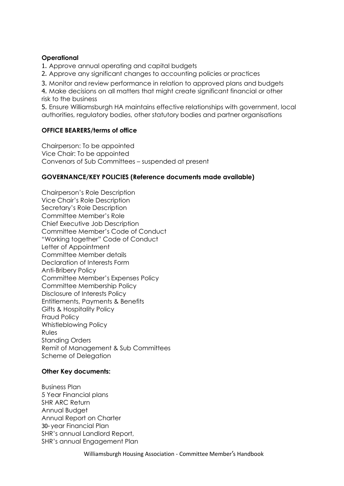#### **Operational**

1. Approve annual operating and capital budgets

2. Approve any significant changes to accounting policies or practices

3. Monitor and review performance in relation to approved plans and budgets

4. Make decisions on all matters that might create significant financial or other risk to the business

5. Ensure Williamsburgh HA maintains effective relationships with government, local authorities, regulatory bodies, other statutory bodies and partner organisations

## **OFFICE BEARERS/terms of office**

Chairperson: To be appointed Vice Chair: To be appointed Convenors of Sub Committees – suspended at present

## **GOVERNANCE/KEY POLICIES (Reference documents made available)**

Chairperson's Role Description Vice Chair's Role Description Secretary's Role Description Committee Member's Role Chief Executive Job Description Committee Member's Code of Conduct "Working together" Code of Conduct Letter of Appointment Committee Member details Declaration of Interests Form Anti-Bribery Policy Committee Member's Expenses Policy Committee Membership Policy Disclosure of Interests Policy Entitlements, Payments & Benefits Gifts & Hospitality Policy Fraud Policy Whistleblowing Policy Rules Standing Orders Remit of Management & Sub Committees Scheme of Delegation

## **Other Key documents:**

Business Plan 5 Year Financial plans SHR ARC Return Annual Budget Annual Report on Charter 30- year Financial Plan SHR's annual Landlord Report, SHR's annual Engagement Plan

Williamsburgh Housing Association - Committee Member's Handbook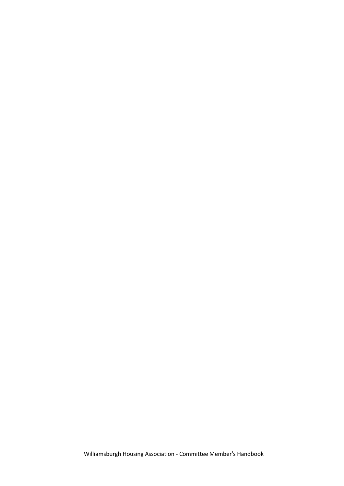Williamsburgh Housing Association - Committee Member's Handbook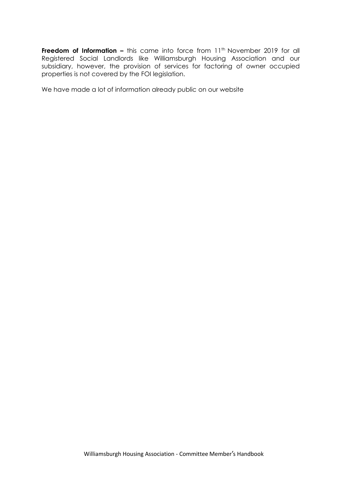**Freedom of Information –** this came into force from 11<sup>th</sup> November 2019 for all Registered Social Landlords like Williamsburgh Housing Association and our subsidiary, however, the provision of services for factoring of owner occupied properties is not covered by the FOI legislation.

We have made a lot of information already public on our website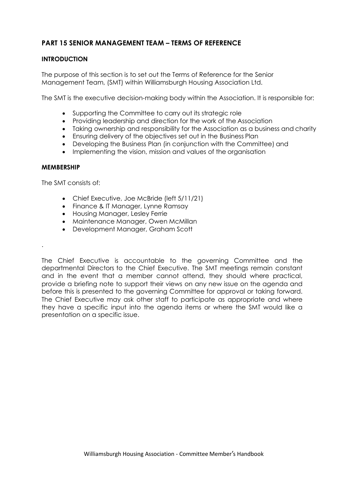# **PART 15 SENIOR MANAGEMENT TEAM – TERMS OF REFERENCE**

## **INTRODUCTION**

The purpose of this section is to set out the Terms of Reference for the Senior Management Team, (SMT) within Williamsburgh Housing Association Ltd.

The SMT is the executive decision-making body within the Association. It is responsible for:

- Supporting the Committee to carry out its strategic role
- Providing leadership and direction for the work of the Association
- Taking ownership and responsibility for the Association as a business and charity
- Ensuring delivery of the objectives set out in the Business Plan
- Developing the Business Plan (in conjunction with the Committee) and
- Implementing the vision, mission and values of the organisation

#### **MEMBERSHIP**

.

The SMT consists of:

- Chief Executive, Joe McBride (left 5/11/21)
- Finance & IT Manager, Lynne Ramsay
- Housing Manager, Lesley Ferrie
- Maintenance Manager, Owen McMillan
- Development Manager, Graham Scott

The Chief Executive is accountable to the governing Committee and the departmental Directors to the Chief Executive. The SMT meetings remain constant and in the event that a member cannot attend, they should where practical, provide a briefing note to support their views on any new issue on the agenda and before this is presented to the governing Committee for approval or taking forward. The Chief Executive may ask other staff to participate as appropriate and where they have a specific input into the agenda items or where the SMT would like a presentation on a specific issue.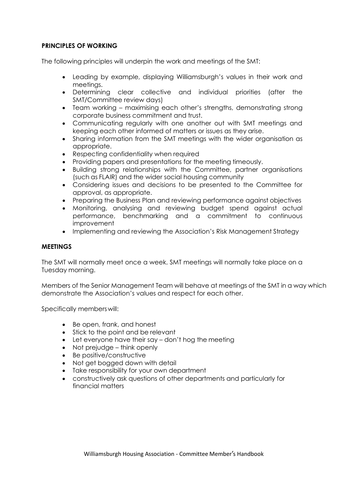## **PRINCIPLES OF WORKING**

The following principles will underpin the work and meetings of the SMT:

- Leading by example, displaying Williamsburgh's values in their work and meetings.
- Determining clear collective and individual priorities (after the SMT/Committee review days)
- Team working maximising each other's strengths, demonstrating strong corporate business commitment and trust.
- Communicating regularly with one another out with SMT meetings and keeping each other informed of matters or issues as they arise.
- Sharing information from the SMT meetings with the wider organisation as appropriate.
- Respecting confidentiality when required
- Providing papers and presentations for the meeting timeously.
- Building strong relationships with the Committee, partner organisations (such as FLAIR) and the wider social housing community
- Considering issues and decisions to be presented to the Committee for approval, as appropriate.
- Preparing the Business Plan and reviewing performance against objectives
- Monitoring, analysing and reviewing budget spend against actual performance, benchmarking and a commitment to continuous improvement
- Implementing and reviewing the Association's Risk Management Strategy

#### **MEETINGS**

The SMT will normally meet once a week. SMT meetings will normally take place on a Tuesday morning.

Members of the Senior Management Team will behave at meetings of the SMT in a way which demonstrate the Association's values and respect for each other.

Specifically memberswill:

- Be open, frank, and honest
- Stick to the point and be relevant
- Let everyone have their say don't hog the meeting
- Not prejudge think openly
- Be positive/constructive
- Not get bogged down with detail
- Take responsibility for your own department
- constructively ask questions of other departments and particularly for financial matters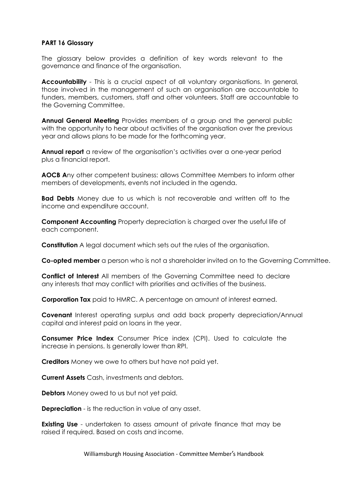## **PART 16 Glossary**

The glossary below provides a definition of key words relevant to the governance and finance of the organisation.

**Accountability** - This is a crucial aspect of all voluntary organisations. In general, those involved in the management of such an organisation are accountable to funders, members, customers, staff and other volunteers. Staff are accountable to the Governing Committee.

**Annual General Meeting** Provides members of a group and the general public with the opportunity to hear about activities of the organisation over the previous year and allows plans to be made for the forthcoming year.

**Annual report** a review of the organisation's activities over a one-year period plus a financial report.

**AOCB A**ny other competent business: allows Committee Members to inform other members of developments, events not included in the agenda.

**Bad Debts** Money due to us which is not recoverable and written off to the income and expenditure account.

**Component Accounting** Property depreciation is charged over the useful life of each component.

**Constitution** A legal document which sets out the rules of the organisation.

**Co-opted member** a person who is not a shareholder invited on to the Governing Committee.

**Conflict of Interest** All members of the Governing Committee need to declare any interests that may conflict with priorities and activities of the business.

**Corporation Tax** paid to HMRC. A percentage on amount of interest earned.

**Covenant** Interest operating surplus and add back property depreciation/Annual capital and interest paid on loans in the year.

**Consumer Price Index** Consumer Price index (CPI). Used to calculate the increase in pensions. Is generally lower than RPI.

**Creditors** Money we owe to others but have not paid yet.

**Current Assets** Cash, investments and debtors.

**Debtors** Money owed to us but not yet paid.

**Depreciation** - is the reduction in value of any asset.

**Existing Use** - undertaken to assess amount of private finance that may be raised if required. Based on costs and income.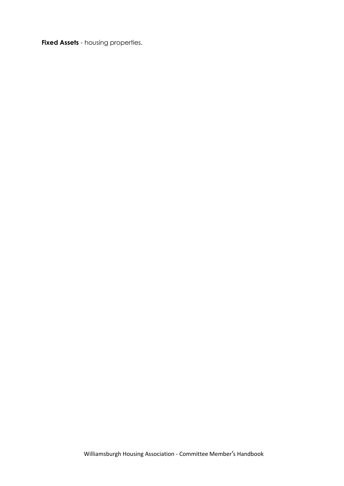**Fixed Assets** - housing properties.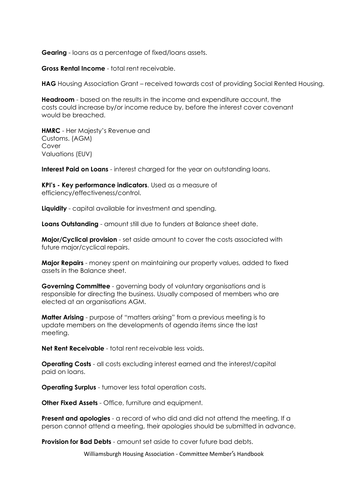**Gearing** - loans as a percentage of fixed/loans assets.

**Gross Rental Income** - total rent receivable.

**HAG** Housing Association Grant – received towards cost of providing Social Rented Housing.

**Headroom** - based on the results in the income and expenditure account, the costs could increase by/or income reduce by, before the interest cover covenant would be breached.

**HMRC** - Her Majesty's Revenue and Customs. (AGM) Cover Valuations (EUV)

**Interest Paid on Loans** - interest charged for the year on outstanding loans.

**KPI's - Key performance indicators**. Used as a measure of efficiency/effectiveness/control.

**Liquidity** - capital available for investment and spending.

**Loans Outstanding** - amount still due to funders at Balance sheet date.

**Major/Cyclical provision** - set aside amount to cover the costs associated with future major/cyclical repairs.

**Major Repairs** - money spent on maintaining our property values, added to fixed assets in the Balance sheet.

**Governing Committee** - governing body of voluntary organisations and is responsible for directing the business. Usually composed of members who are elected at an organisations AGM.

**Matter Arising** - purpose of "matters arising" from a previous meeting is to update members on the developments of agenda items since the last meeting.

**Net Rent Receivable** - total rent receivable less voids.

**Operating Costs** - all costs excluding interest earned and the interest/capital paid on loans.

**Operating Surplus** - turnover less total operation costs.

**Other Fixed Assets** - Office, furniture and equipment.

**Present and apologies** - a record of who did and did not attend the meeting. If a person cannot attend a meeting, their apologies should be submitted in advance.

**Provision for Bad Debts** - amount set aside to cover future bad debts.

Williamsburgh Housing Association - Committee Member's Handbook